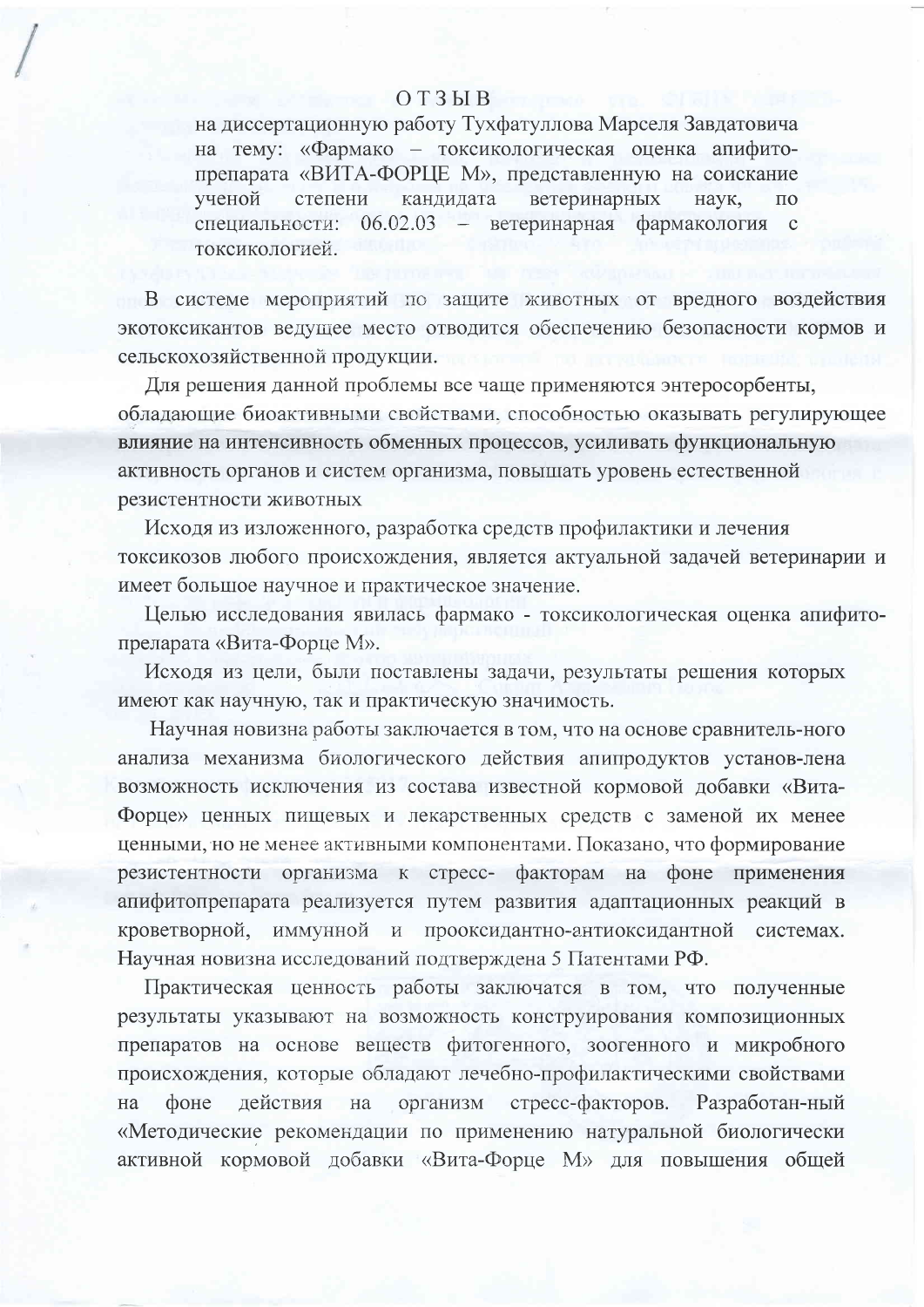## $O T 3 H B$

на диссертационную работу Тухфатуллова Марселя Завдатовича на тему: «Фармако - токсикологическая оценка апифитопрепарата «ВИТА-ФОРЦЕ М», представленную на соискание ветеринарных ученой степени кандидата наук.  $\Pi$ <sup>O</sup> - ветеринарная фармакология специальности: 06.02.03  $\mathbf{c}$ токсикопогией

В системе мероприятий по защите животных от вредного воздействия экотоксикантов ведущее место отводится обеспечению безопасности кормов и сельскохозяйственной продукции.

Для решения данной проблемы все чаще применяются энтеросорбенты, обладающие биоактивными свойствами, способностью оказывать регулирующее влияние на интенсивность обменных процессов, усиливать функциональную активность органов и систем организма, повышать уровень естественной резистентности животных

Исходя из изложенного, разработка средств профилактики и лечения токсикозов любого происхождения, является актуальной задачей ветеринарии и имеет большое научное и практическое значение.

Целью исследования явилась фармако - токсикологическая оценка апифитопреларата «Вита-Форце М».

Исходя из цели, были поставлены задачи, результаты решения которых имеют как научную, так и практическую значимость.

Научная новизна работы заключается в том, что на основе сравнитель-ного анализа механизма биологического действия апипродуктов установ-лена возможность исключения из состава известной кормовой добавки «Вита-Форце» ценных пищевых и лекарственных средств с заменой их менее ценными, но не менее активными компонентами. Показано, что формирование резистентности организма к стресс- факторам на фоне применения апифитопрепарата реализуется путем развития адаптационных реакций в кроветворной, иммунной и прооксидантно-антиоксидантной системах. Научная новизна исследований подтверждена 5 Патентами РФ.

Практическая ценность работы заключатся в том, что полученные результаты указывают на возможность конструирования композиционных препаратов на основе веществ фитогенного, зоогенного и микробного происхождения, которые обладают лечебно-профилактическими свойствами действия на организм стресс-факторов. Разработан-ный фоне на «Методические рекомендации по применению натуральной биологически активной кормовой добавки «Вита-Форце М» для повышения общей